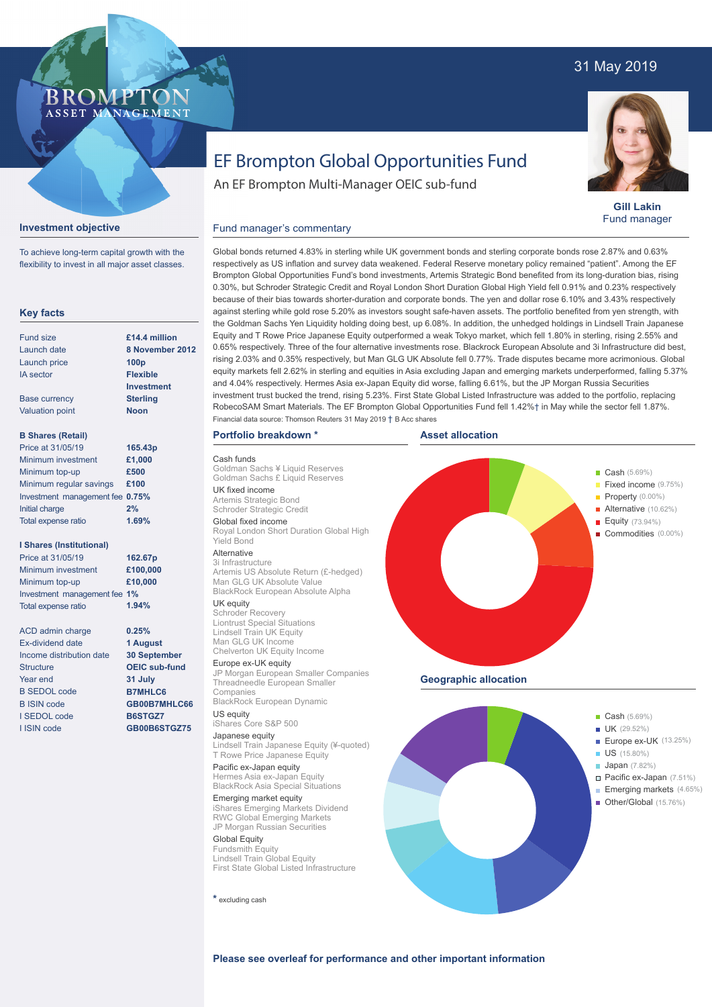### 31 May 2019



**Gill Lakin** Fund manager

# EF Brompton Global Opportunities Fund

An EF Brompton Multi-Manager OEIC sub-fund

### **Investment objective**

To achieve long-term capital growth with the flexibility to invest in all major asset classes.

BROMP"

ASSET MANAGEMENT

#### **Key facts**

| Fund size                | £14.4 million     |
|--------------------------|-------------------|
| Launch date              | 8 November 20     |
| Launch price             | 100 <sub>p</sub>  |
| <b>IA</b> sector         | <b>Flexible</b>   |
|                          | <b>Investment</b> |
| <b>Base currency</b>     | <b>Sterling</b>   |
| <b>Valuation point</b>   | Noon              |
| <b>B Shares (Retail)</b> |                   |

| Price at 31/05/19               | 165.43p |
|---------------------------------|---------|
| Minimum investment              | £1,000  |
| Minimum top-up                  | £500    |
| Minimum regular savings         | £100    |
| Investment management fee 0.75% |         |
| Initial charge                  | 2%      |
| Total expense ratio             | 1.69%   |

#### **I Shares (Institutional)**

| Price at 31/05/19            | 162.67p  |
|------------------------------|----------|
| Minimum investment           | £100,000 |
| Minimum top-up               | £10,000  |
| Investment management fee 1% |          |
| Total expense ratio          | 1.94%    |
|                              |          |

**0.25% 1 August 30 September OEIC sub-fund 31 July B7MHLC6 GB00B7MHLC66 B6STGZ7 GB00B6STGZ75**

ACD admin charge Ex-dividend date Income distribution date **Structure** Year end B SEDOL code B ISIN code I SEDOL code I ISIN code

Global bonds returned 4.83% in sterling while UK government bonds and sterling corporate bonds rose 2.87% and 0.63% respectively as US inflation and survey data weakened. Federal Reserve monetary policy remained "patient". Among the EF Brompton Global Opportunities Fund's bond investments, Artemis Strategic Bond benefited from its long-duration bias, rising 0.30%, but Schroder Strategic Credit and Royal London Short Duration Global High Yield fell 0.91% and 0.23% respectively because of their bias towards shorter-duration and corporate bonds. The yen and dollar rose 6.10% and 3.43% respectively against sterling while gold rose 5.20% as investors sought safe-haven assets. The portfolio benefited from yen strength, with the Goldman Sachs Yen Liquidity holding doing best, up 6.08%. In addition, the unhedged holdings in Lindsell Train Japanese Equity and T Rowe Price Japanese Equity outperformed a weak Tokyo market, which fell 1.80% in sterling, rising 2.55% and 0.65% respectively. Three of the four alternative investments rose. Blackrock European Absolute and 3i Infrastructure did best, rising 2.03% and 0.35% respectively, but Man GLG UK Absolute fell 0.77%. Trade disputes became more acrimonious. Global equity markets fell 2.62% in sterling and equities in Asia excluding Japan and emerging markets underperformed, falling 5.37% and 4.04% respectively. Hermes Asia ex-Japan Equity did worse, falling 6.61%, but the JP Morgan Russia Securities investment trust bucked the trend, rising 5.23%. First State Global Listed Infrastructure was added to the portfolio, replacing RobecoSAM Smart Materials. The EF Brompton Global Opportunities Fund fell 1.42%† in May while the sector fell 1.87%. **8 No** 

### **Portfolio breakdown \***

Fund manager's commentary

Cash funds Goldman Sachs ¥ Liquid Reserves Goldman Sachs £ Liquid Reserves UK fixed income Artemis Strategic Bond Schroder Strategic Credit Global fixed income Royal London Short Duration Global High Yield Bond Alternative 3i Infrastructure Artemis US Absolute Return (£-hedged)

Man GLG UK Absolute Value BlackRock European Absolute Alpha UK equity

## Schroder Recovery

Liontrust Special Situations Lindsell Train UK Equity Man GLG UK Income Chelverton UK Equity Income

Europe ex-UK equity JP Morgan European Smaller Companies Threadneedle European Smaller Companies BlackRock European Dynamic

US equity iShares Core S&P 500

#### Japanese equity

Lindsell Train Japanese Equity (¥-quoted) T Rowe Price Japanese Equity

Pacific ex-Japan equity Hermes Asia ex-Japan Equity BlackRock Asia Special Situations

Emerging market equity iShares Emerging Markets Dividend RWC Global Emerging Markets JP Morgan Russian Securities

### Global Equity

Fundsmith Equity Lindsell Train Global Equity First State Global Listed Infrastructure

**\*** excluding cash





**Please see overleaf for performance and other important information**